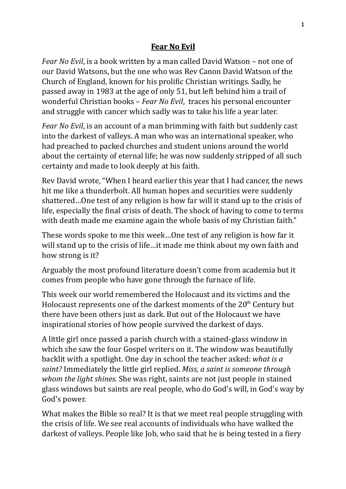## **Fear No Evil**

*Fear No Evil*, is a book written by a man called David Watson – not one of our David Watsons, but the one who was Rev Canon David Watson of the Church of England, known for his prolific Christian writings. Sadly, he passed away in 1983 at the age of only 51, but left behind him a trail of wonderful Christian books – *Fear No Evil*, traces his personal encounter and struggle with cancer which sadly was to take his life a year later.

*Fear No Evil*, is an account of a man brimming with faith but suddenly cast into the darkest of valleys. A man who was an international speaker, who had preached to packed churches and student unions around the world about the certainty of eternal life; he was now suddenly stripped of all such certainty and made to look deeply at his faith.

Rev David wrote, "When I heard earlier this year that I had cancer, the news hit me like a thunderbolt. All human hopes and securities were suddenly shattered...One test of any religion is how far will it stand up to the crisis of life, especially the final crisis of death. The shock of having to come to terms with death made me examine again the whole basis of my Christian faith."

These words spoke to me this week...One test of any religion is how far it will stand up to the crisis of life...it made me think about my own faith and how strong is it?

Arguably the most profound literature doesn't come from academia but it comes from people who have gone through the furnace of life.

This week our world remembered the Holocaust and its victims and the Holocaust represents one of the darkest moments of the  $20<sup>th</sup>$  Century but there have been others just as dark. But out of the Holocaust we have inspirational stories of how people survived the darkest of days.

A little girl once passed a parish church with a stained-glass window in which she saw the four Gospel writers on it. The window was beautifully backlit with a spotlight. One day in school the teacher asked: *what is a saint?* Immediately the little girl replied. Miss, a saint is someone through *whom* the light shines. She was right, saints are not just people in stained glass windows but saints are real people, who do God's will, in God's way by God's power.

What makes the Bible so real? It is that we meet real people struggling with the crisis of life. We see real accounts of individuals who have walked the darkest of valleys. People like Job, who said that he is being tested in a fiery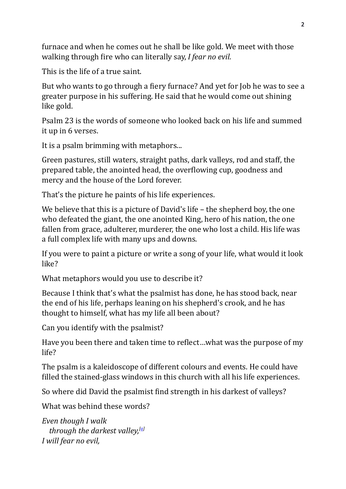furnace and when he comes out he shall be like gold. We meet with those walking through fire who can literally say, *I fear no evil.* 

This is the life of a true saint.

But who wants to go through a fiery furnace? And yet for Job he was to see a greater purpose in his suffering. He said that he would come out shining like gold.

Psalm 23 is the words of someone who looked back on his life and summed it up in 6 verses.

It is a psalm brimming with metaphors...

Green pastures, still waters, straight paths, dark valleys, rod and staff, the prepared table, the anointed head, the overflowing cup, goodness and mercy and the house of the Lord forever.

That's the picture he paints of his life experiences.

We believe that this is a picture of David's life  $-$  the shepherd boy, the one who defeated the giant, the one anointed King, hero of his nation, the one fallen from grace, adulterer, murderer, the one who lost a child. His life was a full complex life with many ups and downs.

If you were to paint a picture or write a song of your life, what would it look like? 

What metaphors would you use to describe it?

Because I think that's what the psalmist has done, he has stood back, near the end of his life, perhaps leaning on his shepherd's crook, and he has thought to himself, what has my life all been about?

Can you identify with the psalmist?

Have you been there and taken time to reflect...what was the purpose of my life?

The psalm is a kaleidoscope of different colours and events. He could have filled the stained-glass windows in this church with all his life experiences.

So where did David the psalmist find strength in his darkest of valleys?

What was behind these words?

*Even* though *I* walk *through the darkest valley,*<sup>[\[a\]](https://www.biblegateway.com/passage/?search=Psalm%2023&version=NIV#fen-NIV-14240a)</sup> *I will fear no evil,*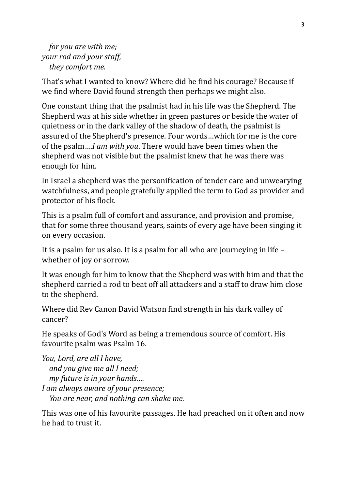*for you are with me; your rod and your staff, they comfort me.* 

That's what I wanted to know? Where did he find his courage? Because if we find where David found strength then perhaps we might also.

One constant thing that the psalmist had in his life was the Shepherd. The Shepherd was at his side whether in green pastures or beside the water of quietness or in the dark valley of the shadow of death, the psalmist is assured of the Shepherd's presence. Four words...which for me is the core of the psalm....*I* am with you. There would have been times when the shepherd was not visible but the psalmist knew that he was there was enough for him.

In Israel a shepherd was the personification of tender care and unwearying watchfulness, and people gratefully applied the term to God as provider and protector of his flock.

This is a psalm full of comfort and assurance, and provision and promise, that for some three thousand years, saints of every age have been singing it on every occasion.

It is a psalm for us also. It is a psalm for all who are journeying in life  $$ whether of joy or sorrow.

It was enough for him to know that the Shepherd was with him and that the shepherd carried a rod to beat off all attackers and a staff to draw him close to the shepherd.

Where did Rev Canon David Watson find strength in his dark valley of cancer?

He speaks of God's Word as being a tremendous source of comfort. His favourite psalm was Psalm 16.

*You, Lord, are all I have,* and you give me all I need; *my future is in your hands.... I* am always aware of your presence; *You are near, and nothing can shake me.* 

This was one of his favourite passages. He had preached on it often and now he had to trust it.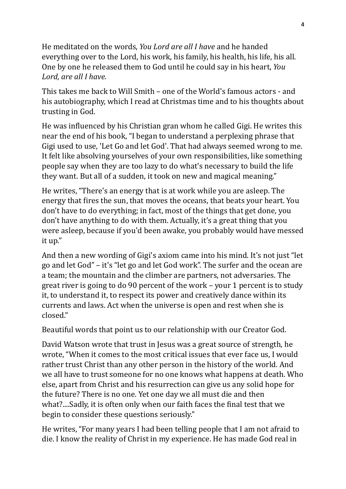He meditated on the words, *You Lord are all I have* and he handed everything over to the Lord, his work, his family, his health, his life, his all. One by one he released them to God until he could say in his heart, *You* Lord, are all I have.

This takes me back to Will Smith – one of the World's famous actors - and his autobiography, which I read at Christmas time and to his thoughts about trusting in God.

He was influenced by his Christian gran whom he called Gigi. He writes this near the end of his book, "I began to understand a perplexing phrase that Gigi used to use, 'Let Go and let God'. That had always seemed wrong to me. It felt like absolving yourselves of your own responsibilities, like something people say when they are too lazy to do what's necessary to build the life they want. But all of a sudden, it took on new and magical meaning."

He writes, "There's an energy that is at work while you are asleep. The energy that fires the sun, that moves the oceans, that beats your heart. You don't have to do everything; in fact, most of the things that get done, you don't have anything to do with them. Actually, it's a great thing that you were asleep, because if you'd been awake, you probably would have messed it up."

And then a new wording of Gigi's axiom came into his mind. It's not just "let go and let God" – it's "let go and let God work". The surfer and the ocean are a team; the mountain and the climber are partners, not adversaries. The great river is going to do 90 percent of the work – your 1 percent is to study it, to understand it, to respect its power and creatively dance within its currents and laws. Act when the universe is open and rest when she is closed."

Beautiful words that point us to our relationship with our Creator God.

David Watson wrote that trust in Jesus was a great source of strength, he wrote, "When it comes to the most critical issues that ever face us, I would rather trust Christ than any other person in the history of the world. And we all have to trust someone for no one knows what happens at death. Who else, apart from Christ and his resurrection can give us any solid hope for the future? There is no one. Yet one day we all must die and then what?....Sadly, it is often only when our faith faces the final test that we begin to consider these questions seriously."

He writes, "For many years I had been telling people that I am not afraid to die. I know the reality of Christ in my experience. He has made God real in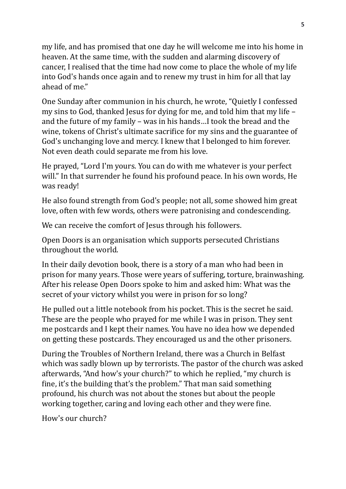my life, and has promised that one day he will welcome me into his home in heaven. At the same time, with the sudden and alarming discovery of cancer, I realised that the time had now come to place the whole of my life into God's hands once again and to renew my trust in him for all that lay ahead of me."

One Sunday after communion in his church, he wrote, "Quietly I confessed my sins to God, thanked Jesus for dying for me, and told him that my life  $$ and the future of my family – was in his hands...I took the bread and the wine, tokens of Christ's ultimate sacrifice for my sins and the guarantee of God's unchanging love and mercy. I knew that I belonged to him forever. Not even death could separate me from his love.

He prayed, "Lord I'm yours. You can do with me whatever is your perfect will." In that surrender he found his profound peace. In his own words, He was ready!

He also found strength from God's people; not all, some showed him great love, often with few words, others were patronising and condescending.

We can receive the comfort of Jesus through his followers.

Open Doors is an organisation which supports persecuted Christians throughout the world.

In their daily devotion book, there is a story of a man who had been in prison for many years. Those were years of suffering, torture, brainwashing. After his release Open Doors spoke to him and asked him: What was the secret of your victory whilst you were in prison for so long?

He pulled out a little notebook from his pocket. This is the secret he said. These are the people who prayed for me while I was in prison. They sent me postcards and I kept their names. You have no idea how we depended on getting these postcards. They encouraged us and the other prisoners.

During the Troubles of Northern Ireland, there was a Church in Belfast which was sadly blown up by terrorists. The pastor of the church was asked afterwards, "And how's your church?" to which he replied, "my church is fine, it's the building that's the problem." That man said something profound, his church was not about the stones but about the people working together, caring and loving each other and they were fine.

How's our church?